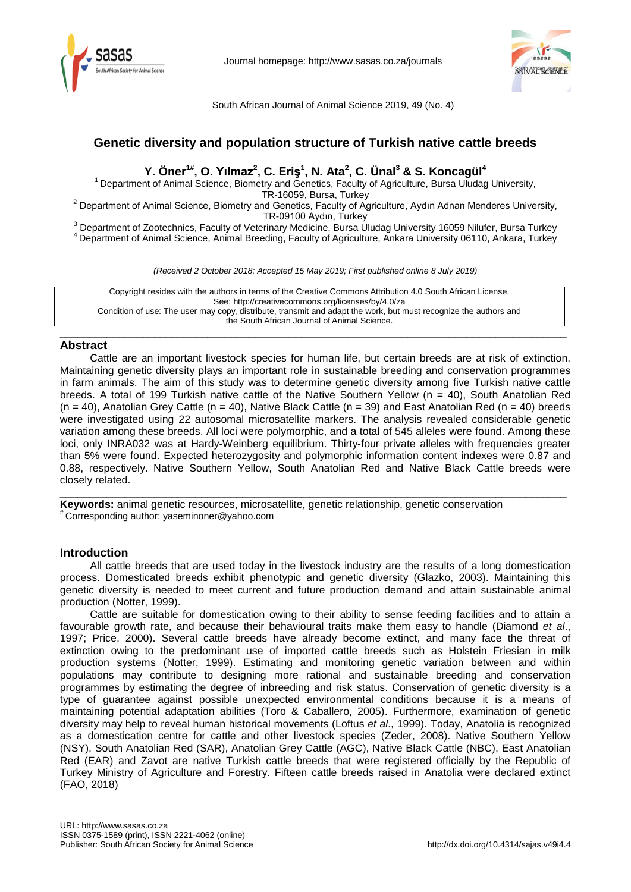



South African Journal of Animal Science 2019, 49 (No. 4)

# **Genetic diversity and population structure of Turkish native cattle breeds**

**Y. Öner1#, O. Yılmaz<sup>2</sup> , C. Eriş<sup>1</sup> , N. Ata2 , C. Ünal<sup>3</sup> & S. Koncagül<sup>4</sup>**

<sup>1</sup> Department of Animal Science, Biometry and Genetics, Faculty of Agriculture, Bursa Uludag University,<br>TR-16059, Bursa, Turkey

<sup>2</sup> Department of Animal Science, Biometry and Genetics, Faculty of Agriculture, Aydın Adnan Menderes University,<br>TR-09100 Aydın, Turkey

<sup>3</sup> Department of Zootechnics, Faculty of Veterinary Medicine, Bursa Uludag University 16059 Nilufer, Bursa Turkey<br><sup>4</sup> Department of Animal Science, Animal Breeding, Faculty of Agriculture, Ankara University 06110, Ankara,

*(Received 2 October 2018; Accepted 15 May 2019; First published online 8 July 2019)*

Copyright resides with the authors in terms of the Creative Commons Attribution 4.0 South African License. See: http://creativecommons.org/licenses/by/4.0/za Condition of use: The user may copy, distribute, transmit and adapt the work, but must recognize the authors and the South African Journal of Animal Science.

\_\_\_\_\_\_\_\_\_\_\_\_\_\_\_\_\_\_\_\_\_\_\_\_\_\_\_\_\_\_\_\_\_\_\_\_\_\_\_\_\_\_\_\_\_\_\_\_\_\_\_\_\_\_\_\_\_\_\_\_\_\_\_\_\_\_\_\_\_\_\_\_\_\_\_\_\_\_\_\_\_\_\_\_\_\_

# **Abstract**

Cattle are an important livestock species for human life, but certain breeds are at risk of extinction. Maintaining genetic diversity plays an important role in sustainable breeding and conservation programmes in farm animals. The aim of this study was to determine genetic diversity among five Turkish native cattle breeds. A total of 199 Turkish native cattle of the Native Southern Yellow (n = 40), South Anatolian Red  $(n = 40)$ , Anatolian Grey Cattle  $(n = 40)$ , Native Black Cattle  $(n = 39)$  and East Anatolian Red  $(n = 40)$  breeds were investigated using 22 autosomal microsatellite markers. The analysis revealed considerable genetic variation among these breeds. All loci were polymorphic, and a total of 545 alleles were found. Among these loci, only INRA032 was at Hardy-Weinberg equilibrium. Thirty-four private alleles with frequencies greater than 5% were found. Expected heterozygosity and polymorphic information content indexes were 0.87 and 0.88, respectively. Native Southern Yellow, South Anatolian Red and Native Black Cattle breeds were closely related.

\_\_\_\_\_\_\_\_\_\_\_\_\_\_\_\_\_\_\_\_\_\_\_\_\_\_\_\_\_\_\_\_\_\_\_\_\_\_\_\_\_\_\_\_\_\_\_\_\_\_\_\_\_\_\_\_\_\_\_\_\_\_\_\_\_\_\_\_\_\_\_\_\_\_\_\_\_\_\_\_\_\_\_\_\_\_

**Keywords:** animal genetic resources, microsatellite, genetic relationship, genetic conservation # Corresponding author: yaseminoner@yahoo.com

# **Introduction**

All cattle breeds that are used today in the livestock industry are the results of a long domestication process. Domesticated breeds exhibit phenotypic and genetic diversity (Glazko, 2003). Maintaining this genetic diversity is needed to meet current and future production demand and attain sustainable animal production (Notter, 1999).

Cattle are suitable for domestication owing to their ability to sense feeding facilities and to attain a favourable growth rate, and because their behavioural traits make them easy to handle (Diamond *et al*., 1997; Price, 2000). Several cattle breeds have already become extinct, and many face the threat of extinction owing to the predominant use of imported cattle breeds such as Holstein Friesian in milk production systems (Notter, 1999). Estimating and monitoring genetic variation between and within populations may contribute to designing more rational and sustainable breeding and conservation programmes by estimating the degree of inbreeding and risk status. Conservation of genetic diversity is a type of guarantee against possible unexpected environmental conditions because it is a means of maintaining potential adaptation abilities (Toro & Caballero, 2005). Furthermore, examination of genetic diversity may help to reveal human historical movements (Loftus *et al*., 1999). Today, Anatolia is recognized as a domestication centre for cattle and other livestock species (Zeder, 2008). Native Southern Yellow (NSY), South Anatolian Red (SAR), Anatolian Grey Cattle (AGC), Native Black Cattle (NBC), East Anatolian Red (EAR) and Zavot are native Turkish cattle breeds that were registered officially by the Republic of Turkey Ministry of Agriculture and Forestry. Fifteen cattle breeds raised in Anatolia were declared extinct (FAO, 2018)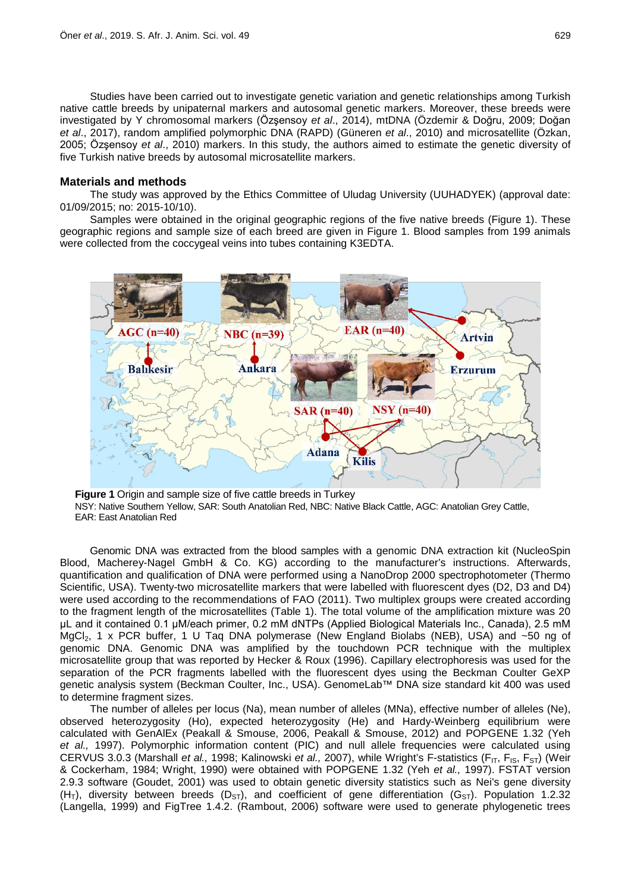Studies have been carried out to investigate genetic variation and genetic relationships among Turkish native cattle breeds by unipaternal markers and autosomal genetic markers. Moreover, these breeds were investigated by Y chromosomal markers (Özşensoy *et al*., 2014), mtDNA (Özdemir & Doğru, 2009; Doğan *et al*., 2017), random amplified polymorphic DNA (RAPD) (Güneren *et al*., 2010) and microsatellite (Özkan, 2005; Özşensoy *et al*., 2010) markers. In this study, the authors aimed to estimate the genetic diversity of five Turkish native breeds by autosomal microsatellite markers.

#### **Materials and methods**

The study was approved by the Ethics Committee of Uludag University (UUHADYEK) (approval date: 01/09/2015; no: 2015-10/10).

Samples were obtained in the original geographic regions of the five native breeds (Figure 1). These geographic regions and sample size of each breed are given in Figure 1. Blood samples from 199 animals were collected from the coccygeal veins into tubes containing K3EDTA.



**Figure 1** Origin and sample size of five cattle breeds in Turkey NSY: Native Southern Yellow, SAR: South Anatolian Red, NBC: Native Black Cattle, AGC: Anatolian Grey Cattle, EAR: East Anatolian Red

Genomic DNA was extracted from the blood samples with a genomic DNA extraction kit (NucleoSpin Blood, Macherey-Nagel GmbH & Co. KG) according to the manufacturer's instructions. Afterwards, quantification and qualification of DNA were performed using a NanoDrop 2000 spectrophotometer (Thermo Scientific, USA). Twenty-two microsatellite markers that were labelled with fluorescent dyes (D2, D3 and D4) were used according to the recommendations of FAO (2011). Two multiplex groups were created according to the fragment length of the microsatellites (Table 1). The total volume of the amplification mixture was 20 μL and it contained 0.1 μM/each primer, 0.2 mM dNTPs (Applied Biological Materials Inc., Canada), 2.5 mM MgCl<sub>2</sub>, 1 x PCR buffer, 1 U Taq DNA polymerase (New England Biolabs (NEB), USA) and ~50 ng of genomic DNA. Genomic DNA was amplified by the touchdown PCR technique with the multiplex microsatellite group that was reported by Hecker & Roux (1996). Capillary electrophoresis was used for the separation of the PCR fragments labelled with the fluorescent dyes using the Beckman Coulter GeXP genetic analysis system (Beckman Coulter, Inc., USA). GenomeLab™ DNA size standard kit 400 was used to determine fragment sizes.

The number of alleles per locus (Na), mean number of alleles (MNa), effective number of alleles (Ne), observed heterozygosity (Ho), expected heterozygosity (He) and Hardy-Weinberg equilibrium were calculated with GenAlEx (Peakall & Smouse, 2006, Peakall & Smouse, 2012) and POPGENE 1.32 (Yeh *et al.,* 1997). Polymorphic information content (PIC) and null allele frequencies were calculated using CERVUS 3.0.3 (Marshall *et al.,* 1998; Kalinowski *et al.,* 2007), while Wright's F-statistics (F<sub>IT</sub>, F<sub>IS</sub>, F<sub>ST</sub>) (Weir & Cockerham, 1984; [Wright, 1990\)](#page-7-0) were obtained with POPGENE 1.32 (Yeh *et al.,* 1997). FSTAT version 2.9.3 software (Goudet, 2001) was used to obtain genetic diversity statistics such as Nei's gene diversity  $(H<sub>T</sub>)$ , diversity between breeds ( $D<sub>ST</sub>$ ), and coefficient of gene differentiation ( $G<sub>ST</sub>$ ). Population 1.2.32 (Langella, 1999) and FigTree 1.4.2. (Rambout, 2006) software were used to generate phylogenetic trees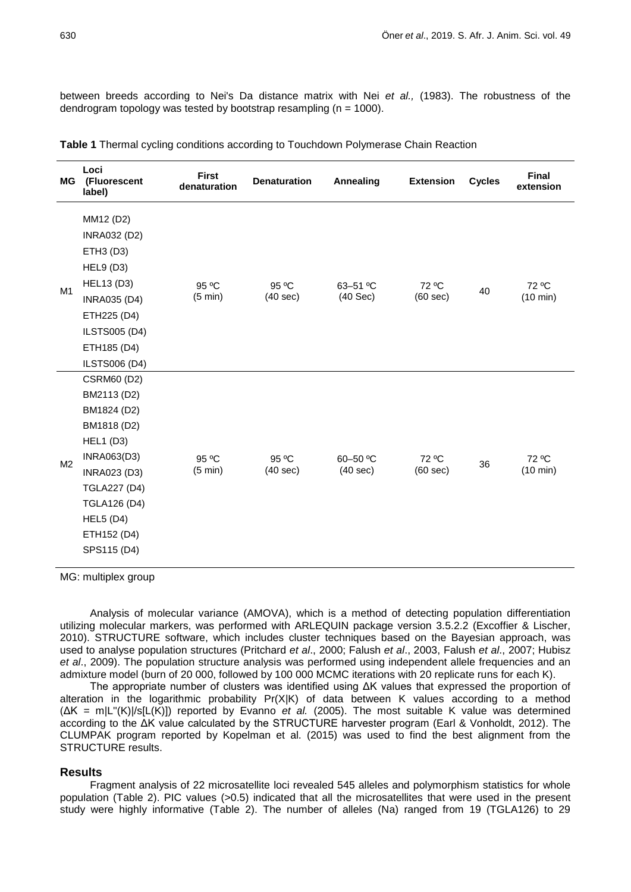between breeds according to Nei's Da distance matrix with Nei *et al.,* (1983). The robustness of the dendrogram topology was tested by bootstrap resampling ( $n = 1000$ ).

| MG             | Loci<br>(Fluorescent<br>label)                                                                                                                                                                                           | <b>First</b><br>denaturation | <b>Denaturation</b> | <b>Annealing</b>          | <b>Extension</b>  | <b>Cycles</b> | <b>Final</b><br>extension |
|----------------|--------------------------------------------------------------------------------------------------------------------------------------------------------------------------------------------------------------------------|------------------------------|---------------------|---------------------------|-------------------|---------------|---------------------------|
| M1             | MM12 (D2)<br><b>INRA032 (D2)</b><br>ETH3 (D3)<br><b>HEL9 (D3)</b><br><b>HEL13 (D3)</b><br><b>INRA035 (D4)</b><br>ETH225 (D4)<br><b>ILSTS005 (D4)</b><br>ETH185 (D4)<br><b>ILSTS006 (D4)</b>                              | 95 °C<br>$(5 \text{ min})$   | 95 °C<br>(40 sec)   | 63-51 °C<br>$(40$ Sec $)$ | 72 °C<br>(60 sec) | 40            | 72 °C<br>(10 min)         |
| M <sub>2</sub> | <b>CSRM60 (D2)</b><br>BM2113 (D2)<br>BM1824 (D2)<br>BM1818 (D2)<br><b>HEL1 (D3)</b><br><b>INRA063(D3)</b><br><b>INRA023 (D3)</b><br><b>TGLA227 (D4)</b><br><b>TGLA126 (D4)</b><br>HEL5(D4)<br>ETH152 (D4)<br>SPS115 (D4) | 95 °C<br>$(5 \text{ min})$   | 95 °C<br>(40 sec)   | 60-50 °C<br>(40 sec)      | 72 °C<br>(60 sec) | 36            | 72 °C<br>(10 min)         |

**Table 1** Thermal cycling conditions according to Touchdown Polymerase Chain Reaction

MG: multiplex group

Analysis of molecular variance (AMOVA), which is a method of detecting population differentiation utilizing molecular markers, was performed with ARLEQUIN package version 3.5.2.2 (Excoffier & Lischer, 2010). STRUCTURE software, which includes cluster techniques based on the Bayesian approach, was used to analyse population structures (Pritchard *et al*., 2000; [Falush](#page-6-0) *et al*., 2003, Falush *et al*., [2007;](#page-6-1) [Hubisz](#page-6-2)  *et al*[., 2009\)](#page-6-2). The population structure analysis was performed using independent allele frequencies and an admixture model (burn of 20 000, followed by 100 000 MCMC iterations with 20 replicate runs for each K).

The appropriate number of clusters was identified using ΔK values that expressed the proportion of alteration in the logarithmic probability Pr(X|K) of data between K values according to a method (ΔK = m|L''(K)|/s[L(K)]) reported by Evanno *et al.* (2005). The most suitable K value was determined according to the ΔK value calculated by the STRUCTURE harvester program (Earl & Vonholdt, 2012). The CLUMPAK program reported by Kopelman et al. (2015) was used to find the best alignment from the STRUCTURE results.

### **Results**

Fragment analysis of 22 microsatellite loci revealed 545 alleles and polymorphism statistics for whole population (Table 2). PIC values (>0.5) indicated that all the microsatellites that were used in the present study were highly informative (Table 2). The number of alleles (Na) ranged from 19 (TGLA126) to 29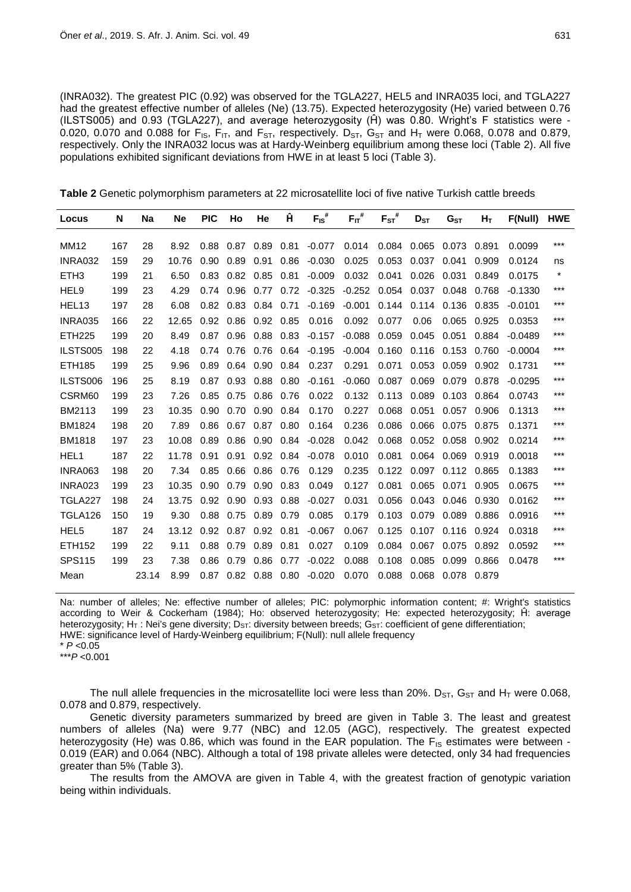(INRA032). The greatest PIC (0.92) was observed for the TGLA227, HEL5 and INRA035 loci, and TGLA227 had the greatest effective number of alleles (Ne) (13.75). Expected heterozygosity (He) varied between 0.76 (ILSTS005) and 0.93 (TGLA227), and average heterozygosity (Ĥ) was 0.80. Wright's F statistics were - 0.020, 0.070 and 0.088 for F<sub>IS</sub>, F<sub>IT</sub>, and F<sub>ST</sub>, respectively. D<sub>ST</sub>, G<sub>ST</sub> and H<sub>T</sub> were 0.068, 0.078 and 0.879, respectively. Only the INRA032 locus was at Hardy-Weinberg equilibrium among these loci (Table 2). All five populations exhibited significant deviations from HWE in at least 5 loci (Table 3).

| Table 2 Genetic polymorphism parameters at 22 microsatellite loci of five native Turkish cattle breeds |  |  |  |
|--------------------------------------------------------------------------------------------------------|--|--|--|
|--------------------------------------------------------------------------------------------------------|--|--|--|

| Locus             | N   | <b>Na</b> | <b>Ne</b> | <b>PIC</b> | Ho   | He   | Ĥ    | $F_{IS}$ # | $F_{IT}$ # | $F_{ST}^{\#}$ | $D_{ST}$ | G <sub>ST</sub> | $H_T$ | F(Null)   | <b>HWE</b> |
|-------------------|-----|-----------|-----------|------------|------|------|------|------------|------------|---------------|----------|-----------------|-------|-----------|------------|
| <b>MM12</b>       | 167 | 28        | 8.92      | 0.88       | 0.87 | 0.89 | 0.81 | $-0.077$   | 0.014      | 0.084         | 0.065    | 0.073           | 0.891 | 0.0099    | $***$      |
| <b>INRA032</b>    | 159 | 29        | 10.76     | 0.90       | 0.89 | 0.91 | 0.86 | $-0.030$   | 0.025      | 0.053         | 0.037    | 0.041           | 0.909 | 0.0124    | ns         |
| ETH <sub>3</sub>  | 199 | 21        | 6.50      | 0.83       | 0.82 | 0.85 | 0.81 | $-0.009$   | 0.032      | 0.041         | 0.026    | 0.031           | 0.849 | 0.0175    | $^\star$   |
| HEL9              | 199 | 23        | 4.29      | 0.74       | 0.96 | 0.77 | 0.72 | $-0.325$   | $-0.252$   | 0.054         | 0.037    | 0.048           | 0.768 | $-0.1330$ | ***        |
| HEL <sub>13</sub> | 197 | 28        | 6.08      | 0.82       | 0.83 | 0.84 | 0.71 | $-0.169$   | $-0.001$   | 0.144         | 0.114    | 0.136           | 0.835 | $-0.0101$ | ***        |
| INRA035           | 166 | 22        | 12.65     | 0.92       | 0.86 | 0.92 | 0.85 | 0.016      | 0.092      | 0.077         | 0.06     | 0.065           | 0.925 | 0.0353    | ***        |
| <b>ETH225</b>     | 199 | 20        | 8.49      | 0.87       | 0.96 | 0.88 | 0.83 | $-0.157$   | $-0.088$   | 0.059         | 0.045    | 0.051           | 0.884 | $-0.0489$ | ***        |
| ILSTS005          | 198 | 22        | 4.18      | 0.74       | 0.76 | 0.76 | 0.64 | $-0.195$   | $-0.004$   | 0.160         | 0.116    | 0.153           | 0.760 | $-0.0004$ | $***$      |
| ETH185            | 199 | 25        | 9.96      | 0.89       | 0.64 | 0.90 | 0.84 | 0.237      | 0.291      | 0.071         | 0.053    | 0.059           | 0.902 | 0.1731    | ***        |
| ILSTS006          | 196 | 25        | 8.19      | 0.87       | 0.93 | 0.88 | 0.80 | $-0.161$   | $-0.060$   | 0.087         | 0.069    | 0.079           | 0.878 | $-0.0295$ | ***        |
| CSRM60            | 199 | 23        | 7.26      | 0.85       | 0.75 | 0.86 | 0.76 | 0.022      | 0.132      | 0.113         | 0.089    | 0.103           | 0.864 | 0.0743    | ***        |
| BM2113            | 199 | 23        | 10.35     | 0.90       | 0.70 | 0.90 | 0.84 | 0.170      | 0.227      | 0.068         | 0.051    | 0.057           | 0.906 | 0.1313    | $***$      |
| BM1824            | 198 | 20        | 7.89      | 0.86       | 0.67 | 0.87 | 0.80 | 0.164      | 0.236      | 0.086         | 0.066    | 0.075           | 0.875 | 0.1371    | $***$      |
| <b>BM1818</b>     | 197 | 23        | 10.08     | 0.89       | 0.86 | 0.90 | 0.84 | $-0.028$   | 0.042      | 0.068         | 0.052    | 0.058           | 0.902 | 0.0214    | $***$      |
| HEL1              | 187 | 22        | 11.78     | 0.91       | 0.91 | 0.92 | 0.84 | $-0.078$   | 0.010      | 0.081         | 0.064    | 0.069           | 0.919 | 0.0018    | $***$      |
| INRA063           | 198 | 20        | 7.34      | 0.85       | 0.66 | 0.86 | 0.76 | 0.129      | 0.235      | 0.122         | 0.097    | 0.112           | 0.865 | 0.1383    | ***        |
| <b>INRA023</b>    | 199 | 23        | 10.35     | 0.90       | 0.79 | 0.90 | 0.83 | 0.049      | 0.127      | 0.081         | 0.065    | 0.071           | 0.905 | 0.0675    | ***        |
| TGLA227           | 198 | 24        | 13.75     | 0.92       | 0.90 | 0.93 | 0.88 | $-0.027$   | 0.031      | 0.056         | 0.043    | 0.046           | 0.930 | 0.0162    | ***        |
| TGLA126           | 150 | 19        | 9.30      | 0.88       | 0.75 | 0.89 | 0.79 | 0.085      | 0.179      | 0.103         | 0.079    | 0.089           | 0.886 | 0.0916    | $***$      |
| HEL <sub>5</sub>  | 187 | 24        | 13.12     | 0.92       | 0.87 | 0.92 | 0.81 | $-0.067$   | 0.067      | 0.125         | 0.107    | 0.116           | 0.924 | 0.0318    | ***        |
| ETH152            | 199 | 22        | 9.11      | 0.88       | 0.79 | 0.89 | 0.81 | 0.027      | 0.109      | 0.084         | 0.067    | 0.075           | 0.892 | 0.0592    | ***        |
| <b>SPS115</b>     | 199 | 23        | 7.38      | 0.86       | 0.79 | 0.86 | 0.77 | $-0.022$   | 0.088      | 0.108         | 0.085    | 0.099           | 0.866 | 0.0478    | ***        |
| Mean              |     | 23.14     | 8.99      | 0.87       | 0.82 | 0.88 | 0.80 | $-0.020$   | 0.070      | 0.088         | 0.068    | 0.078           | 0.879 |           |            |

Na: number of alleles; Ne: effective number of alleles; PIC: polymorphic information content; #: Wright's statistics according to Weir & Cockerham (1984); Ho: observed heterozygosity; He: expected heterozygosity; Ĥ: average heterozygosity; H<sub>T</sub>: Nei's gene diversity; D<sub>ST</sub>: diversity between breeds; G<sub>ST</sub>: coefficient of gene differentiation; HWE: significance level of Hardy-Weinberg equilibrium; F(Null): null allele frequency

 $*$   $P < 0.05$ 

\*\*\**P* <0.001

The null allele frequencies in the microsatellite loci were less than 20%.  $D_{ST}$ ,  $G_{ST}$  and  $H_T$  were 0.068, 0.078 and 0.879, respectively.

Genetic diversity parameters summarized by breed are given in Table 3. The least and greatest numbers of alleles (Na) were 9.77 (NBC) and 12.05 (AGC), respectively. The greatest expected heterozygosity (He) was 0.86, which was found in the EAR population. The  $F_{1S}$  estimates were between -0.019 (EAR) and 0.064 (NBC). Although a total of 198 private alleles were detected, only 34 had frequencies greater than 5% (Table 3).

The results from the AMOVA are given in Table 4, with the greatest fraction of genotypic variation being within individuals.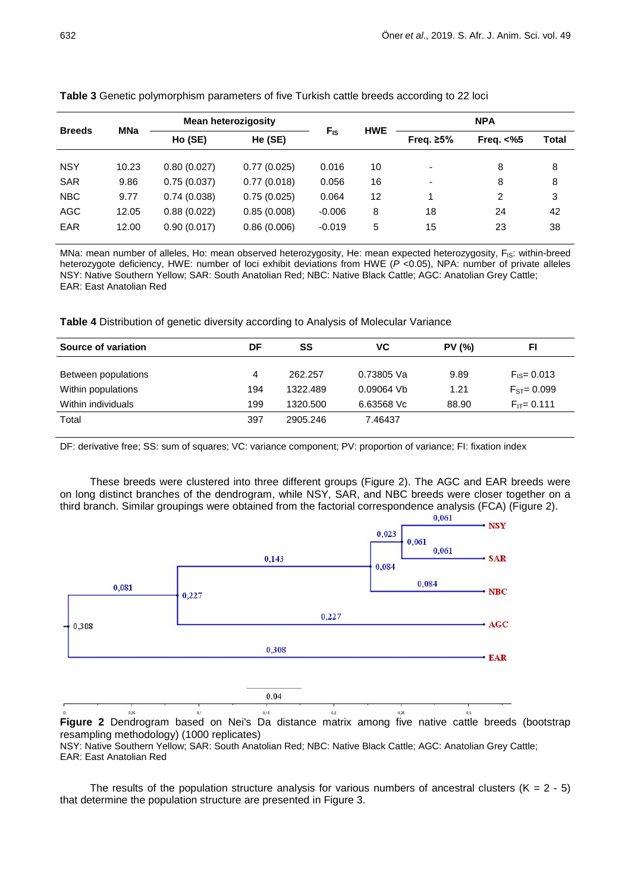|               | <b>MNa</b> | <b>Mean heterozigosity</b> |             |                 | <b>HWE</b> | <b>NPA</b>               |                |       |  |
|---------------|------------|----------------------------|-------------|-----------------|------------|--------------------------|----------------|-------|--|
| <b>Breeds</b> |            | Ho (SE)                    | He (SE)     | $F_{\text{IS}}$ |            | Freq. $\geq 5\%$         | Freq. $<\!\%5$ | Total |  |
| <b>NSY</b>    | 10.23      | 0.80(0.027)                | 0.77(0.025) | 0.016           | 10         |                          | 8              | 8     |  |
| <b>SAR</b>    | 9.86       | 0.75(0.037)                | 0.77(0.018) | 0.056           | 16         | $\overline{\phantom{0}}$ | 8              | 8     |  |
| <b>NBC</b>    | 9.77       | 0.74(0.038)                | 0.75(0.025) | 0.064           | 12         | 1                        | $\overline{2}$ | 3     |  |
| <b>AGC</b>    | 12.05      | 0.88(0.022)                | 0.85(0.008) | $-0.006$        | 8          | 18                       | 24             | 42    |  |
| <b>EAR</b>    | 12.00      | 0.90(0.017)                | 0.86(0.006) | $-0.019$        | 5          | 15                       | 23             | 38    |  |

### **Table 3** Genetic polymorphism parameters of five Turkish cattle breeds according to 22 loci

MNa: mean number of alleles, Ho: mean observed heterozygosity, He: mean expected heterozygosity, F<sub>IS</sub>: within-breed heterozygote deficiency, HWE: number of loci exhibit deviations from HWE (*P* <0.05), NPA: number of private alleles NSY: Native Southern Yellow; SAR: South Anatolian Red; NBC: Native Black Cattle; AGC: Anatolian Grey Cattle; EAR: East Anatolian Red

**Table 4** Distribution of genetic diversity according to Analysis of Molecular Variance

| Source of variation | DF  | SS       | VC         | <b>PV (%)</b> | FI.              |
|---------------------|-----|----------|------------|---------------|------------------|
| Between populations | 4   | 262.257  | 0.73805 Va | 9.89          | $F_{IS} = 0.013$ |
| Within populations  | 194 | 1322.489 | 0.09064 Vb | 1.21          | $FST = 0.099$    |
| Within individuals  | 199 | 1320.500 | 6.63568 Vc | 88.90         | $F_{IT} = 0.111$ |
| Total               | 397 | 2905.246 | 7.46437    |               |                  |

DF: derivative free; SS: sum of squares; VC: variance component; PV: proportion of variance; FI: fixation index

These breeds were clustered into three different groups (Figure 2). The AGC and EAR breeds were on long distinct branches of the dendrogram, while NSY, SAR, and NBC breeds were closer together on a third branch. Similar groupings were obtained from the factorial correspondence analysis (FCA) (Figure 2).<br> $0.061$ 



resampling methodology) (1000 replicates)

NSY: Native Southern Yellow; SAR: South Anatolian Red; NBC: Native Black Cattle; AGC: Anatolian Grey Cattle; EAR: East Anatolian Red

The results of the population structure analysis for various numbers of ancestral clusters  $(K = 2 - 5)$ that determine the population structure are presented in Figure 3.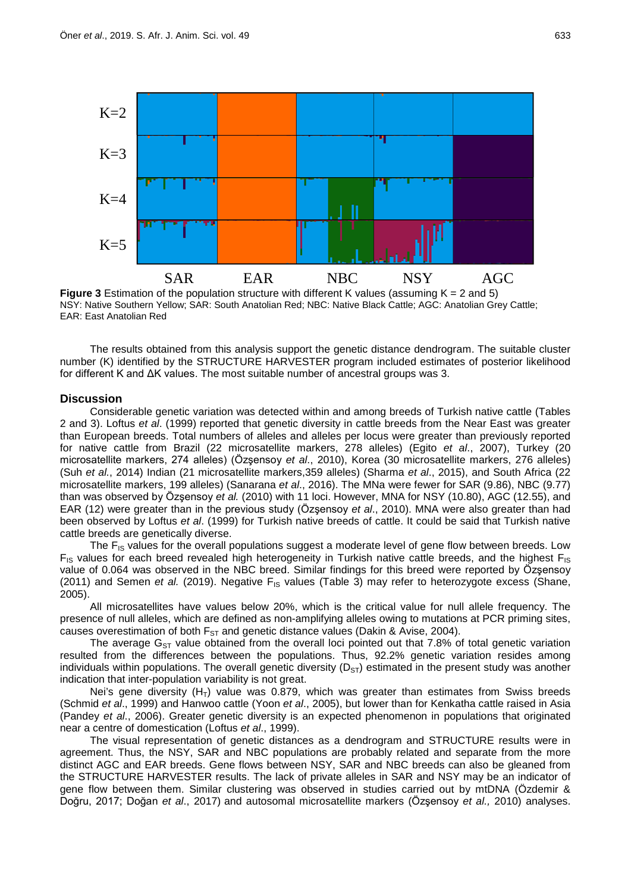

**Figure 3** Estimation of the population structure with different K values (assuming  $K = 2$  and 5) NSY: Native Southern Yellow; SAR: South Anatolian Red; NBC: Native Black Cattle; AGC: Anatolian Grey Cattle; EAR: East Anatolian Red

The results obtained from this analysis support the genetic distance dendrogram. The suitable cluster number (K) identified by the STRUCTURE HARVESTER program included estimates of posterior likelihood for different K and ΔK values. The most suitable number of ancestral groups was 3.

# **Discussion**

Considerable genetic variation was detected within and among breeds of Turkish native cattle (Tables 2 and 3). Loftus *et al*. (1999) reported that genetic diversity in cattle breeds from the Near East was greater than European breeds. Total numbers of alleles and alleles per locus were greater than previously reported for native cattle from Brazil (22 microsatellite markers, 278 alleles) (Egito *et al*., 2007), Turkey (20 microsatellite markers, 274 alleles) (Özşensoy *et al*., 2010), Korea (30 microsatellite markers, 276 alleles) (Suh *et al.*, 2014) Indian (21 microsatellite markers,359 alleles) (Sharma *et al*., 2015), and South Africa (22 microsatellite markers, 199 alleles) (Sanarana *et al*., 2016). The MNa were fewer for SAR (9.86), NBC (9.77) than was observed by Özşensoy *et al.* (2010) with 11 loci. However, MNA for NSY (10.80), AGC (12.55), and EAR (12) were greater than in the previous study (Özşensoy *et al*., 2010). MNA were also greater than had been observed by Loftus *et al*. (1999) for Turkish native breeds of cattle. It could be said that Turkish native cattle breeds are genetically diverse.

The F<sub>IS</sub> values for the overall populations suggest a moderate level of gene flow between breeds. Low  $F_{1S}$  values for each breed revealed high heterogeneity in Turkish native cattle breeds, and the highest  $F_{1S}$ value of 0.064 was observed in the NBC breed. Similar findings for this breed were reported by Özşensoy (2011) and Semen *et al.* (2019). Negative  $F_{15}$  values (Table 3) may refer to heterozygote excess (Shane, 2005).

All microsatellites have values below 20%, which is the critical value for null allele frequency. The presence of null alleles, which are defined as non-amplifying alleles owing to mutations at PCR priming sites, causes overestimation of both  $F_{ST}$  and genetic distance values (Dakin & Avise, 2004).

The average  $G_{ST}$  value obtained from the overall loci pointed out that 7.8% of total genetic variation resulted from the differences between the populations. Thus, 92.2% genetic variation resides among individuals within populations. The overall genetic diversity  $(D_{ST})$  estimated in the present study was another indication that inter-population variability is not great.

Nei's gene diversity  $(H_T)$  value was 0.879, which was greater than estimates from Swiss breeds (Schmid *et al*., 1999) and Hanwoo cattle (Yoon *et al*., 2005), but lower than for Kenkatha cattle raised in Asia (Pandey *et al*., 2006). Greater genetic diversity is an expected phenomenon in populations that originated near a centre of domestication (Loftus *et al*., 1999).

The visual representation of genetic distances as a dendrogram and STRUCTURE results were in agreement. Thus, the NSY, SAR and NBC populations are probably related and separate from the more distinct AGC and EAR breeds. Gene flows between NSY, SAR and NBC breeds can also be gleaned from the STRUCTURE HARVESTER results. The lack of private alleles in SAR and NSY may be an indicator of gene flow between them. Similar clustering was observed in studies carried out by mtDNA (Özdemir & Doğru, 2017; Doğan *et al*., 2017) and autosomal microsatellite markers (Özşensoy *et al.,* 2010) analyses.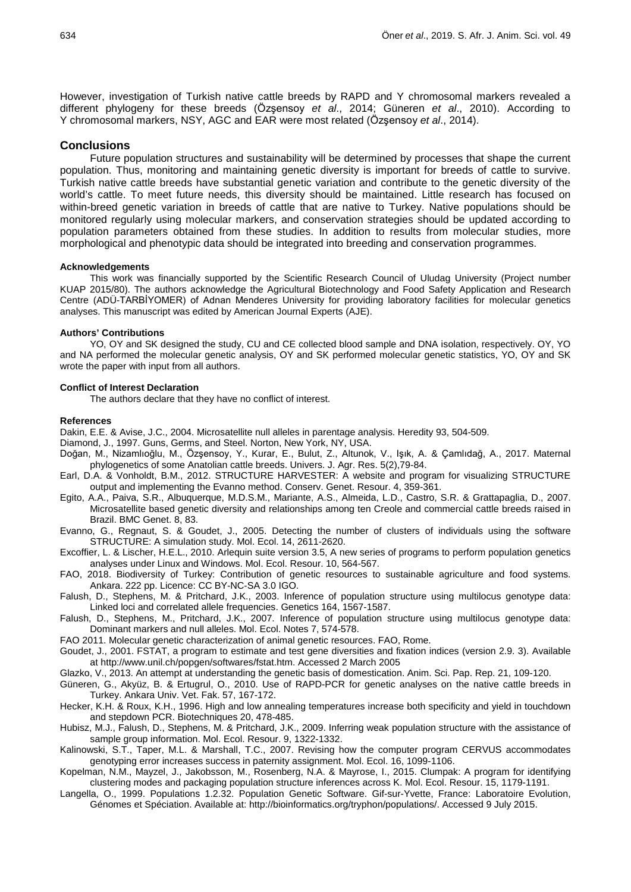However, investigation of Turkish native cattle breeds by RAPD and Y chromosomal markers revealed a different phylogeny for these breeds (Özşensoy *et al*., 2014; Güneren *et al*., 2010). According to Y chromosomal markers, NSY, AGC and EAR were most related (Özşensoy *et al*., 2014).

### **Conclusions**

Future population structures and sustainability will be determined by processes that shape the current population. Thus, monitoring and maintaining genetic diversity is important for breeds of cattle to survive. Turkish native cattle breeds have substantial genetic variation and contribute to the genetic diversity of the world's cattle. To meet future needs, this diversity should be maintained. Little research has focused on within-breed genetic variation in breeds of cattle that are native to Turkey. Native populations should be monitored regularly using molecular markers, and conservation strategies should be updated according to population parameters obtained from these studies. In addition to results from molecular studies, more morphological and phenotypic data should be integrated into breeding and conservation programmes.

#### **Acknowledgements**

This work was financially supported by the Scientific Research Council of Uludag University (Project number KUAP 2015/80). The authors acknowledge the Agricultural Biotechnology and Food Safety Application and Research Centre (ADÜ-TARBİYOMER) of Adnan Menderes University for providing laboratory facilities for molecular genetics analyses. This manuscript was edited by American Journal Experts (AJE).

### **Authors' Contributions**

YO, OY and SK designed the study, CU and CE collected blood sample and DNA isolation, respectively. OY, YO and NA performed the molecular genetic analysis, OY and SK performed molecular genetic statistics, YO, OY and SK wrote the paper with input from all authors.

### **Conflict of Interest Declaration**

The authors declare that they have no conflict of interest.

#### **References**

Dakin, E.E. & Avise, J.C., 2004. Microsatellite null alleles in parentage analysis. Heredity 93, 504-509.

- Diamond, J., 1997. Guns, Germs, and Steel. Norton, New York, NY, USA.
- Doğan, M., Nizamlıoğlu, M., Özşensoy, Y., Kurar, E., Bulut, Z., Altunok, V., Işık, A. & Çamlıdağ, A., 2017. Maternal phylogenetics of some Anatolian cattle breeds. Univers. J. Agr. Res. 5(2),79-84.
- Earl, D.A. & Vonholdt, B.M., 2012. STRUCTURE HARVESTER: A website and program for visualizing STRUCTURE output and implementing the Evanno method. Conserv. Genet. Resour. 4, 359-361.
- Egito, A.A., Paiva, S.R., Albuquerque, M.D.S.M., Mariante, A.S., Almeida, L.D., Castro, S.R. & Grattapaglia, D., 2007. Microsatellite based genetic diversity and relationships among ten Creole and commercial cattle breeds raised in Brazil. BMC Genet. 8, 83.
- Evanno, G., Regnaut, S. & Goudet, J., 2005. Detecting the number of clusters of individuals using the software STRUCTURE: A simulation study. Mol. Ecol. 14, 2611-2620.
- Excoffier, L. & Lischer, H.E.L., 2010. Arlequin suite version 3.5, A new series of programs to perform population genetics analyses under Linux and Windows. Mol. Ecol. Resour. 10, 564-567.
- <span id="page-6-0"></span>FAO, 2018. Biodiversity of Turkey: Contribution of genetic resources to sustainable agriculture and food systems. Ankara. 222 pp. Licence: CC BY-NC-SA 3.0 IGO.
- Falush, D., Stephens, M. & Pritchard, J.K., 2003. Inference of population structure using multilocus genotype data: Linked loci and correlated allele frequencies. Genetics 164, 1567-1587.
- <span id="page-6-1"></span>Falush, D., Stephens, M., Pritchard, J.K., 2007. Inference of population structure using multilocus genotype data: Dominant markers and null alleles. Mol. Ecol. Notes 7, 574-578.
- FAO 2011. Molecular genetic characterization of animal genetic resources. FAO, Rome.
- Goudet, J., 2001. FSTAT, a program to estimate and test gene diversities and fixation indices (version 2.9. 3). Available at [http://www.unil.ch/popgen/softwares/fstat.htm.](http://www.unil.ch/popgen/softwares/fstat.htm) Accessed 2 March 2005
- Glazko, V., 2013. An attempt at understanding the genetic basis of domestication. Anim. Sci. Pap. Rep. 21, 109-120.
- Güneren, G., Akyüz, B. & Ertugrul, O., 2010. Use of RAPD-PCR for genetic analyses on the native cattle breeds in Turkey. Ankara Univ. Vet. Fak. 57, 167-172.
- <span id="page-6-2"></span>Hecker, K.H. & Roux, K.H., 1996. High and low annealing temperatures increase both specificity and yield in touchdown and stepdown PCR. Biotechniques 20, 478-485.
- Hubisz, M.J., Falush, D., Stephens, M. & Pritchard, J.K., 2009. Inferring weak population structure with the assistance of sample group information. Mol. Ecol. Resour. 9, 1322-1332.
- Kalinowski, S.T., Taper, M.L. & Marshall, T.C., 2007. Revising how the computer program CERVUS accommodates genotyping error increases success in paternity assignment. Mol. Ecol. 16, 1099-1106.
- Kopelman, N.M., Mayzel, J., Jakobsson, M., Rosenberg, N.A. & Mayrose, I., 2015. Clumpak: A program for identifying clustering modes and packaging population structure inferences across K. Mol. Ecol. Resour. 15, 1179-1191.
- Langella, O., 1999. Populations 1.2.32. Population Genetic Software. Gif-sur-Yvette, France: Laboratoire Evolution, Génomes et Spéciation. Available at: http://bioinformatics.org/tryphon/populations/. Accessed 9 July 2015.